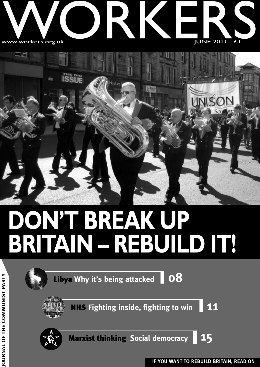



## **DON'T BREAK UP BRITAIN – REBUILD IT!**

| Libya Why it's being attacked 08                 |  |
|--------------------------------------------------|--|
| <b>NHS Fighting inside, fighting to win</b>   11 |  |



**Marxist thinking Social democracy 15**



**IF YOU WANT TO REBUILD BRITAIN, READ ON JO**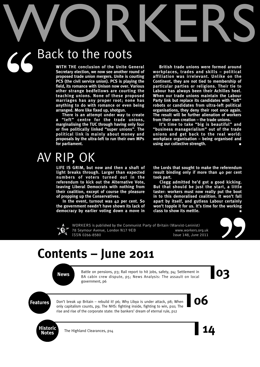# WORKERS

## $56<sup>E</sup>$ Back to the roots

**WITH THE conclusion of the Unite General Secretary election, we now see another round of proposed trade union mergers. Unite is courting PCS (the civil service union). PCS is playing the field, its romance with Unison now over. Various other strange bedfellows are courting the teaching unions. None of these proposed marriages has any proper root; none has anything to do with romance or even being arranged. More like fixed up, shotgun.**

**There is an attempt under way to create a "left" centre for the trade unions, marginalising the TUC through having only four or five politically linked "super unions". The political link is mainly about money and proposals by the ultra-left to run their own MPs for parliament.**

## AV RIP, OK

**LIFE IS GRIM, but now and then a shaft of light breaks through. Larger than expected numbers of voters turned out in the referendum to kick out the Alternative Vote, leaving Liberal Democrats with nothing from their coalition, except of course the pleasure of propping up the Conservatives.**

**In the event, turnout was 42 per cent. So the government needn't have shown its lack of democracy by earlier voting down a move in**

**British trade unions were formed around workplaces, trades and skills – political affiliation was irrelevant. Unlike on the Continent, they are not tied to membership of particular parties or religions. Their tie to Labour has always been their Achilles heel. When our trade unions maintain the Labour Party link but replace its candidates with "left" robots or candidates from ultra-left political organisations, they deny their root once again. The result will be further alienation of workers from their own creation – the trade unions.**

**It's time to take "big is beautiful" and "business managerialism" out of the trade unions and get back to the real world: workplace organisation – being organised and using our collective strength. ■**

**the Lords that sought to make the referendum result binding only if more than 40 per cent took part.**

**Clegg admitted he'd got a good kicking. But that should be just the start, a little taster: workers must now really put the boot in to this demoralised coalition. It won't fall apart by itself, and gutless Labour certainly won't topple it for us. It's time for the working class to show its mettle. ■**



WORKERS is published by the Communist Party of Britain (Marxist-Leninist) 78 Seymour Avenue, London N17 9EB www.workers.org.uk ISSN 0266-8580 Issue 148, June 2011



Rews<br>BA cabin crew dispute, p5; News Analysis: The assault on local<br>**O3** Battle on pensions, p3; Rail report to hit jobs, safety, p4; Settlement in government, p6

**99**<br>|03

**Features Don't break up Britain – rebuild it! p6; Why Libya is under attack, p8; When <b>OO** Don't break up Britain – rebuild it! p6; Why Libya is under attack, p8; When only capitalism counts, p9; The NHS: fighting inside, fighting to win, p10; The rise and rise of the corporate state: the bankers' dream of eternal rule, p12



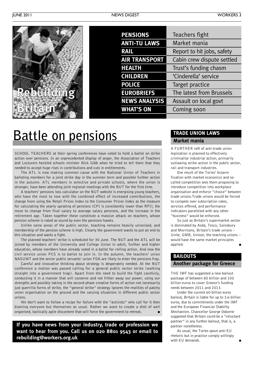| <b>PENSIONS</b>      | Teachers fight             |
|----------------------|----------------------------|
| <b>ANTI-TU LAWS</b>  | Market mania               |
| <b>RAIL</b>          | Report to hit jobs, safety |
| <b>AIR TRANSPORT</b> | Cabin crew dispute settled |
| <b>HEALTH</b>        | Trust's funding chasm      |
| <b>CHILDREN</b>      | 'Cinderella' service       |
| <b>POLICE</b>        | Target practice            |
| <b>EUROBRIEFS</b>    | The latest from Brussels   |
| <b>NEWS ANALYSIS</b> | Assault on local govt      |
| <b>WHAT'S ON</b>     | Coming soon                |
|                      |                            |

## **Battle on pensions**

SCHOOL TEACHERS at their spring conferences have voted to hold a ballot on strike action over pensions. In an unprecedented display of anger, the Association of Teachers and Lecturers heckled schools minister Nick Gibb when he tried to tell them that they needed to accept huge rises in contributions and cuts in entitlements.

The ATL is now making common cause with the National Union of Teachers in balloting members for a joint strike day in the summer term and possible further action in the autumn. ATL members in selective and private schools, where the union is stronger, have been attending joint regional meetings with the NUT for the first time.

A teachers' pensions loss calculator on the NUT website is energising young teachers, who have the most to lose with the combined effect of increased contributions, the change from using the Retail Prices Index to the Consumer Prices Index as the measure for calculating the yearly uprating of pensions (CPI is consistently lower than RPI), the move to change from final salary to average salary pensions, and the increase in the retirement age. Taken together these constitute a massive attack on teachers, whose pension scheme is rated as sound by even the pensions hawks.

Unlike some areas of the public sector, teaching remains heavily unionised, and membership of the pension scheme is high. Clearly the government wants to put an end to this situation and wants a fight.

The planned teachers' strike is scheduled for 30 June. The NUT and the ATL will be joined by members of the University and College Union in adult, further and higher education, whose members have already voted in a ballot for rolling action. And now the civil service union PCS is to ballot to join in. In the autumn, the teachers' union NASUWT and the senior public servants' union FDA are likely to enter the pensions fray.

Careful and innovative thinking about strategy is desperately needed. At the NUT conference a motion was passed calling for a general public sector strike (walking straight into a government trap). Apart from the need to build the fight carefully, conducting it in a manner that will conserve and not fritter away our power, using our strengths and possibly taking in the second phase creative forms of action not necessarily just guerrilla forms of strike, the "general strike" strategy ignores the realities of patchy union organisation on the ground and the varying situations in different public sector unions.

We don't want to follow a recipe for failure with the "activists" who call for it then blaming everyone but themselves as usual. Rather we want to create a dish of well organised, tactically agile discontent that will force the government to retreat. **■**

**If you have news from your industry, trade or profession we want to hear from you. Call us on 020 8801 9543 or email to rebuilding@workers.org.uk**

#### **TRADE UNION LAWS Market mania**

A FURTHER raft of anti-trade union legislation is planned to effectively criminalise industrial action, primarily outlawing strike action in the public sector, rail and transport industries.

One result of the Tories' bizarre fixation with market economics and socalled competition sees them proposing to introduce competition into workplace organisation and enforce "choice" between trade unions.Trade unions would be forced to compete over subscription rates, services offered, and performance indicators paralleled with any other "business" would be enforced.

So just as Britain's supermarket sector is dominated by Asda, Tesco, Sainsbury and Morrisons, Britain's trade unions – Unite, GMB, Unison, the teaching unions – would have the same market principles applied.

#### **BAILOUTS**

#### **Another package for Greece**

THE IMF has suggested a new bailout package of between 80 billion and 100 billion euros to cover Greece's funding needs between 2011 and 2013.

Under the current 60 billion euros bailout, Britain is liable for up to 3.6 billion euros, due to commitments under the IMF and the European Financial Stability Mechanism. Chancellor George Osborne suggested that Britain could be a "reluctant partner" in any further bailout, that is, a partner nonetheless.

As usual, the Tories spout anti-EU rhetoric but in practice comply willingly with **FII** demands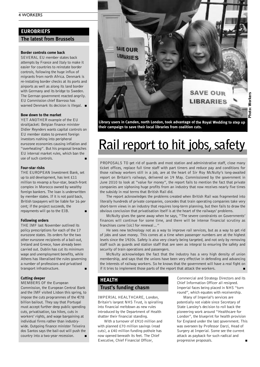#### **EUROBRIEFS**

**The latest from Brussels**

#### **Border controls come back**

SEVERAL EU member states back attempts by France and Italy to make it easier for countries to reinstate border controls, following the huge influx of migrants from north Africa. Denmark is re-instating border checks at its ports and airports as well as along its land border with Germany and its bridge to Sweden. The German government reacted angrily. EU Commission chief Barroso has warned Denmark its decision is illegal. **■**

#### **Bow down to the market**

YET ANOTHER example of the EU straitjacket: Belgian finance minister Didier Reynders wants capital controls on EU member states to prevent foreign investors rushing into peripheral eurozone economies causing inflation and "overheating". But his proposal breaches EU internal market rules, which ban the use of such controls.

#### **Four-star risks**

THE EUROPEAN Investment Bank, set up to aid development, has lent £11 million to revamp a four-star, beach-front complex in Morocco owned by wealthy foreign bankers. The loan is underwritten by member states. If it is not paid back, British taxpayers will be liable for 16 per cent; if the project succeeds, the repayments will go to the EIB. **■**

**Following orders**

THE IMF last November outlined its policy prescriptions for each of the 17 eurozone states. Its orders for the two other eurozone recipients of a bail-out, Ireland and Greece, have already been carried out. Dublin has cut its minimum wage and unemployment benefits, while Athens has liberalised the rules governing a number of professions and privatised transport infrastructure. **■**

#### **Cutting deeper**

MEMBERS OF the European Commission, the European Central Bank and the IMF visited Lisbon this spring, to impose the cuts programmes of the  $\in 78$ billion bailout. They say that Portugal must accept further deep public spending cuts, privatisation, tax hikes, cuts in workers' rights, and wage bargaining at individual firms rather than industrywide. Outgoing finance minister Teixeira dos Santos says the bail-out will push the country into a two-year recession.



**Library users in Camden, north London, took advantage of the Royal Wedding to step up their campaign to save their local libraries from coalition cuts.**

## **Rail** report to hit jobs, safety

PROPOSALS TO get rid of guards and most station and administrative staff, close many ticket offices, replace full time staff with part timers and reduce pay and conditions for those railway workers still in a job, are at the heart of Sir Roy McNulty's long-awaited report on Britain's railways, delivered on 19 May. Commissioned by the government in June 2010 to look at "value for money", the report fails to mention the fact that private companies are siphoning huge profits from an industry that now receives nearly five times the subsidy in real terms that British Rail did.

The report acknowledges the problems created when British Rail was fragmented into literally hundreds of private companies, concedes that train operating companies take very short-term views in an industry that requires long-term planning, but then fails to draw the obvious conclusion that privatisation itself is at the heart of the railways' problems.

McNulty gives the game away when he says, "The severe constraints on Governments' finances will continue for some time, and there will be intense financial scrutiny as franchises come [sic] for renewal…"

He sees new technology not as a way to improve rail services, but as a way to get rid of jobs and save money. This comes at a time when passenger numbers are at the highest levels since the 1920s. Safety is also very clearly being targeted, and not only by removing staff such as guards and station staff that are seen as integral to ensuring the safety and security of train operations and passengers.

McNulty acknowledges the fact that the industry has a very high density of union membership, and says that the unions have been very effective in defending and advancing the interests of railway workers. So he knows that the government will have a real fight on if it tries to implement those parts of the report that attack the workers.

#### **HEALTH**

#### **Trust's funding chasm**

IMPERIAL HEALTHCARE, London, Britain's largest NHS Trust, is spiralling into financial meltdown as new rules introduced by the Department of Health shatter their financial standing.

With a turnover of £910 million and with planned £70 million savings (read cuts), a £40 million funding pothole has now opened beneath its feet. The Chief Executive, Chief Financial Officer,

Commercial and Strategy Directors and its Chief Information Officer all resigned. Imperial faces being placed in NHS "turn round", which equates with receivership.

Many of Imperial's services are potentially not viable since Secretary of State Lansley's decision to roll back the pioneering work around "Healthcare for London", the blueprint for health provision for England under the last government. This was overseen by Professor Darzi, Head of Surgery at Imperial. Some see the current attack as payback for such radical and progressive proposals. **■**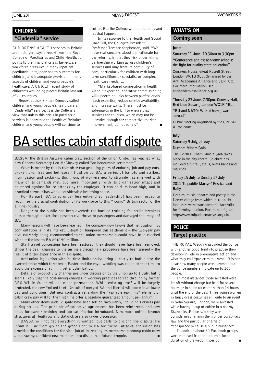#### **CHILDREN**

#### **"Cinderella" service**

CHILDREN'S HEALTH services in Britain are in danger, says a report from the Royal College of Paediatrics and Child Health. It points to the financial crisis, large-scale workforce pressures in many inpatient paediatric units, poor health outcomes for children, and inadequate provision in many aspects of children and young people's healthcare. A UNICEF recent study of children's well-being placed Britain last out of 21 countries.

Report author Sir Ian Kennedy called children and young people's healthcare a "Cinderella" service. It is the College's view that unless this crisis in paediatric services is addressed the health of Britain's children and young people will continue to

suffer. But the College will not stand by and let that happen.

In its response to the Health and Social Care Bill, the College's President, Professor Terence Stephenson, said, "We have real concerns about the rationale for the reforms, in that they risk undermining partnership working across children's services and may fracture continuity of care, particularly for children with long term conditions or specialist or complex healthcare needs. …

"Market-based competition in health without expert collaborative commissioning will undermine links between professionals, leach expertise, reduce service availability and increase waits. There must be safeguards in the Bill to ensure that services for children, which may not be lucrative enough for competitive market improvement, do not suffer."

## **BA settles cabin staff dispute**

BASSA, the British Airways cabin crew section of the union Unite, has reached what new General Secretary Len McCluskey called "an honourable settlement".

What is meant by this is that after two gruelling years of enduring job and pay cuts, broken promises and bellicose litigation by BA, a series of ballots and strikes, intimidation and sackings, this group of workers new to struggle has emerged with many of its demands met, but more importantly, with its organisation intact and bolstered against future attacks by the employer. It can hold its head high, and in practical terms it has won a considerable breathing space.

For its part, BA (also under less entrenched leadership) has been forced to recognise the crucial contribution of its workforce to this "iconic" British sector of the airline industry.

Danger to the public has been averted: the hurried training for strike breakers bussed through picket lines posed a real threat to passengers and damaged the image of **BA** 

Many lessons will have been learned. The company now knows that negotiation not confrontation is in its interest. Litigation hampered this settlement – the two-year pay deal currently being recommended to the union membership could have been reached without the loss to BA of £150 million.

Staff travel concessions have been restored; they should never have been removed. Under the deal, changes to the airline's disciplinary procedure have been agreed – the result of bitter experience in this dispute.

Anti-union legislation with its time limits on balloting is costly to both sides; the averted strike which threatened Easter and the royal wedding was called at that time to avoid the expense of running yet another ballot.

Details of productivity changes are under discussion by the union up to 1 July, but it seems likely that the cost-saving changes in working practices forced through by former CEO Willie Walsh will be made permanent. While existing staff will be largely protected, the new "mixed fleet" (result of merged BA and Iberia) will come in at lower pay and conditions. But new contracts regarding the "variable earnings" element of cabin crew pay will for the first time offer a baseline guaranteed amount per annum.

Many other items under dispute have been settled favourably, including sickness pay during strikes. The principle of collective agreements has been reinforced, and new ideas for career training and job satisfaction introduced. New more unified branch structures at Heathrow and Gatwick are also under discussion.

BASSA will not get everything it wanted, but calls to prolong the dispute are infantile. Far from giving the green light to BA for further attacks, the union has provided the conditions for the vital job of increasing its membership among cabin crew and drawing confident new members into disciplined future struggle.

#### **WHAT'S ON**

#### **Coming soon**

#### **June**

**Saturday 11 June, 10.30am to 3.30pm "Conference against academy schools: the fight for quality state education"**

Congress House, Great Russell Street, London WC1B 3LS. Organised by the Anti Academies Alliance and SERTUC. For more information, see antiacademiesalliance.org.uk

**Thursday 23 June, 7.30pm. Conway Hall, Red Lion Square, London WC1R 4RL. "EU and NATO: War at home, war abroad"**

Public meeting organised by the CPBM-L. All welcome.

#### **July**

**Saturday 9 July, all day**

**Durham Miners Gala**

The 127th Durham Miners Gala takes place in the city centre. Celebrations included a funfair, stalls, brass bands and marches.

#### **Friday 15 July to Sunday 17 July 2011 Tolpuddle Martyrs' Festival and Rally**

Politics, music, theatre and poetry in the Dorset village from which in 1834 six labourers were transported to Australia for forming a union. For more info, see http://www.tolpuddlemartyrs.org.uk/

#### **POLICE**

#### **Target practice**

THE ROYAL Wedding provided the police with another opportunity to practise their developing role in pre-emptive action and what they call "pre-crime" arrests. It is not clear how many people were arrested but the police numbers indicate up to 100 people.

In most instances those arrested were let off without charge but held for several hours or in some cases more than 24 hours until the end of the day. Three young women in fancy dress costumes en route to an event in Soho Square, London, were arrested while having a cup of coffee in a nearby Starbucks. Police said they were considering charging them under conspiracy law and the particular charge of "conspiracy to cause a public nuisance".

In addition about 50 Facebook groups were removed from the internet for the duration of the wedding period.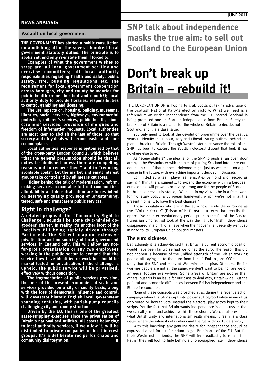#### **NEWS ANALYSIS**

#### **Assault on local government**

**THE GOVERNMENT has started a public consultation on abolishing all of the several hundred local government statutory duties. The principle is to abolish all and only re-instate them if forced to.**

**Examples of what the government wishes to scrap are: all local government scrutiny and overview committees; all local authority responsibilities regarding health and safety, public safety, fire, building regulations etc; the requirement for local government cooperation across boroughs, city and county boundaries for public health (remember foot and mouth?); local authority duty to provide libraries; responsibilities to control gambling and licensing.**

**The list impacts on: housing, building, museums, libraries, social services, highways, environmental protection, children's services, public health, crime, coroners' services, provision of morgues and freedom of information requests. Local authorities are most keen to abolish the last of those, so that secrecy and dirty deals will become easier and more commonplace.**

**Local authorities' response is epitomised by that of the cross-party London Councils, which believes "that the general presumption should be that all duties be abolished unless there are compelling reasons not to remove them" and in "reducing avoidable costs". Let the market and small interest groups take control and by all means cut costs.**

**Hiding behind the talk of modernisation, reform, making services accountable to local communities, affordability and decentralisation are forces intent on destroying quality provision of longstanding, tested, safe and transparent public services.**

#### **Right to challenge?**

**A related proposal, the "Community Right to Challenge", sounds like some civic-minded dogooders' charter. In reality it's another facet of the Localism Bill being rapidly driven through Parliament. The Bill will map out extensive privatisation and outsourcing of local government services, in England only. This will allow any notfor-profit organisation or any two employees working in the public sector to demand that the service they have identified or work for should be market tested for privatisation. If the challenge is upheld, the public service will be privatised, effectively without opposition.**

**The fragmentation of public services provision, the loss of the present economies of scale and services provided on a city or county basis, along with the loss of democratic influence and control, will devastate historic English local government spanning centuries, with parish-pump councils challenging city and county structures.**

**Driven by the EU, this is one of the greatest asset-stripping exercises since the privatisation of Britain's nationalised utilities. All assets belonging to local authority services, if we allow it, will be distributed to private companies or local interest groups. It's a deliberate recipe for chaos and**  $commuity$  disintegration.

**SNP talk about independence masks the true aim: to sell out Scotland to the European Union**

## **Don't break up Britain – rebuild it!**

THE EUROPEAN UNION is hoping to grab Scotland, taking advantage of the Scottish National Party's election victory. What we need is a referendum on British independence from the EU. Instead Scotland is being promised one on Scottish independence from Britain. Surely the break-up of Britain is a matter for the whole of Britain to decide, not just Scotland, and it is a class issue.

You only need to look at the devolution programme over the past 14 years to identify the Labour, Tory and Liberal "string pullers" behind the plan to break up Britain. Through Westminster connivance the role of the SNP has been to capture the Scottish electoral dissent that feels it has nowhere else to go.

As "scene shifters" the idea is for the SNP to push at an open door arranged by Westminster with the aim of putting Scotland into a pre euro detention cell. If that happens Holyrood might just as well meet on a golf course in the future, with everything important decided in Brussels.

Committed euro team player as he is, Alex Salmond is on record as saying 'I think the argument … to expand the economy within a European euro context will prove to be a very strong one for the people of Scotland. He has also previously stated, "We need in my view to be in a framework for monetary policy, a European framework, which we're not in at the present moment, to have the best chances."

Those populations who are in the euro now deride the eurozone as the "Volker-Kerker" (Prison of Nations) –- a term that recalls the oppressive counter revolutionary period prior to the fall of the Austro-Hungarian Empire. Just look at the way the fight for Irish independence disappeared in a blink of an eye when their government recently went cap in hand to its European Union political masters.

#### **The euro sickness**

Begrudgingly it is acknowledged that Britain's current economic position would have been far worse had we joined the euro. The reason this did not happen is because of the unified strength of the British working people all saying no to the euro from Lands' End to John O'Groats – a unity that the SNP and many at Westminster despise. Of course British working people are not all the same, we don't want to be, nor are we on an equal footing everywhere. Some areas of Britain are poorer than others, but this is an issue for our class to deal with, Britain-wide. But the political and economic differences between British independence and the EU are irreconcilable.

None of these concepts was broached at all during the recent election campaign when the SNP swept into power at Holyrood while many of us only voted on how to vote. Instead the electoral play actors kept to their scripts. Yet the fact that Britain wants independence is a discussion that we can all join in and achieve within these shores. We can also examine what British unity and internationalism really means. It really is a class issue, where the interests of workers and the ruling class divide sharply.

With this backdrop any genuine desire for independence should be expressed a call for a referendum to get Britain out of the EU. But like their Westminster friends, the SNP will try steadfastly to refuse this. Rather they will look to hide behind a choreographed faux independence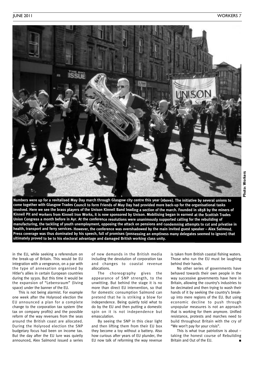

Numbers were up for a revitalised May Day march through Glasgow city centre this year (above). The initiative by several unions to come together with Glasgow Trades Council to form Friends of May Day had provided more back-up for the organisational tasks involved. Here we see the brass players of the Unison Kinneil Band leading a section of the march. Founded in 1858 by the miners of Kinneil Pit and workers from Kinneil Iron Works, it is now sponsored by Unison. Mobilising began in earnest at the Scottish Trades Union Congress a month before in Ayr. At the conference resolutions were unanimously supported calling for the rebuilding of manufacturing, the tackling of youth unemployment, opposing the attack on pensions and condemning attempts to cut and privatise in health, transport and ferry services. However, the conference was overshadowed by the main invited guest speaker - Alex Salmond. Press coverage was thus dominated by his speech, full of promises (possessing an emptiness many delegates seemed to ignore) that **ultimately proved to be to his electoral advantage and damaged British working class unity.**

in the EU, while seeking a referendum on the break-up of Britain. This would be EU integration with a vengeance, on a par with the type of annexation organised by Hitler's allies in certain European countries during the 1930s. But this time it would be the expansion of "Lebensraum" (living space) under the banner of the EU.

This is not being alarmist. For example one week after the Holyrood election the EU announced a plan for a complete change to the corporation tax system (the tax on company profits) and the possible reform of the way revenues from the seas around the British coast are allocated. During the Holyrood election the SNP budgetary focus had been on income tax. But the day after the EU lure was quietly announced, Alex Salmond issued a series

of new demands in the British media including the devolution of corporation tax and changes to coastal revenue allocations.

The choreography gives the appearance of SNP strength, to the unwitting. But behind the stage it is no more than direct EU intervention, so that for domestic consumption Salmond can pretend that he is striking a blow for independence. Being quietly told what to do by the EU and then putting a domestic spin on it is not independence but emasculation.

By seeing the SNP in this clear light and then lifting them from their EU box they become a toy without a battery. Also how curious after years of EU plunder, the EU now talk of reforming the way revenue

is taken from British coastal fishing waters. Those who run the EU must be laughing behind their hands.

No other series of governments have behaved towards their own people in the way successive governments have here in Britain, allowing the country's industries to be decimated and then trying to wash their hands of it by seeking the country's breakup into mere regions of the EU. But using economic decline to push through unpopular measures is not an approach that is working for them anymore. Unified resistance, protests and marches need to build throughout Britain with the cry of "We won't pay for your crisis".

This is what true patriotism is about – taking the honest course of Rebuilding Britain and Out of the EU.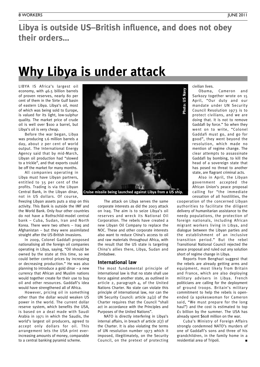### **Libya is outside US–British influence, and does not obey their orders…**

## **Why Libya is under attack**

LIBYA IS Africa's largest oil economy, with 46.5 billion barrels of proven reserves, nearly 80 per cent of them in the Sirte Gulf basin of eastern Libya. Libya's oil, most of which was being sold to Europe, is valued for its light, low-sulphur quality. The market price of crude oil is well over \$100 a barrel, but Libya's oil is very cheap.

Before the war began, Libya was producing 1.6 million barrels a day, about 2 per cent of world output. The International Energy Agency said that by mid-March, Libyan oil production had "slowed to a trickle", and that exports could be off the market for many months.

All companies operating in Libya must have Libyan partners, entitled to 35 per cent of the profits. Trading is via the Libyan Central Bank, in the Libyan dinar, not in US dollars. Of course,

freezing Libyan assets puts a stop on this activity. This Bank is outside the IMF and the World Bank. Only four other countries do not have a Rothschild-model central bank – Cuba, Sudan, Iran and North Korea. There were two others – Iraq and Afghanistan – but they were assimilated straight after the US-British invasions.

In 2009, Colonel Gaddafi proposed nationalising all the foreign oil companies operating in Libya, saying, "Oil should be owned by the state at this time, so we could better control prices by increasing or decreasing production." He was also planning to introduce a gold dinar – a new currency that African and Muslim nations would together create for their use to buy oil and other resources. Gaddafi's idea would have strengthened all of Africa.

However, pricing oil in something other than the dollar would weaken US power in the world. The current dollar reserve system, which benefits the USA, is based on a deal made with Saudi Arabia in 1971 in which the Saudis, the world's largest oil producers, agreed to accept only dollars for oil. This arrangement lets the USA print everincreasing amounts of money, comparable to a central banking pyramid scheme.



**Cruise missile being launched against Libya from <sup>a</sup> US ship.**

The attack on Libya serves the same corporate interests as did the 2003 attack on Iraq. The aim is to seize Libya's oil reserves and wreck its National Oil Corporation. The rebels have created a new Libyan Oil Company to replace the NOC. These and other corporate interests also want to reduce China's access to oil and raw materials throughout Africa, with the result that the US state is targeting China's allies there, Libya, Sudan and Zimbabwe.

#### **International law**

The most fundamental principle of international law is that no state shall use force against another state, as outlined in article 2, paragraph 4, of the United Nations Charter. No state can violate this principle of international law, nor can the UN Security Council: article 24(2) of the Charter requires that the Council "shall act in accordance with the Principles and Purposes of the United Nations".

NATO is directly interfering in Libya's internal affairs, in breach of article 2(7) of the Charter. It is also violating the terms of UN resolution number 1973 which it imposed, illegitimately, on the Security Council, on the pretext of protecting civilian lives.

Obama, Cameron and Sarkozy together wrote on 15 April, "Our duty and our mandate under UN Security Council Resolution 1973 is to protect civilians, and we are doing that. It is not to remove Gaddafi by force." So when they went on to write, "Colonel Gaddafi must go, and go for good", they went beyond the resolution, which made no mention of regime change. The clear attempts to assassinate Gaddafi by bombing, to kill the head of a sovereign state that has posed no threat to another state, are flagrant criminal acts.

Also in April, the Libyan government accepted the African Union's peace proposal calling for "the immediate cessation of all hostilities, the

cooperation of the concerned Libyan authorities to facilitate the diligent delivery of humanitarian assistance to the needy populations, the protection of foreign nationals, including African migrant workers living in Libya, and dialogue between the Libyan parties and the establishment of an inclusive transition period." But the rebel Transitional National Council rejected the peace proposal and ruled out any solution short of regime change in Libya.

Reports from Benghazi suggest that the rebels are already getting arms and equipment, most likely from Britain and France, which are also deploying military advisers in Libya. French politicians are calling for the deployment of ground troops. Britain's military commitment to help the rebels is openended (a spokeswoman for Cameron said, "We must prepare for the long haul") and the cost is estimated to top £1 billion by the summer. The USA has already spent \$608 million on the war.

Cuba's Ministry of Foreign Affairs strongly condemned NATO's murders of one of Gaddafi's sons and three of his grandchildren, in the family home in a residential area of Tripoli. **■**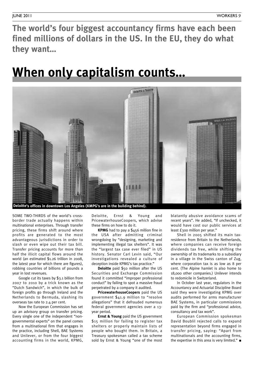**The world's four biggest accountancy firms have each been fined millions of dollars in the US. In the EU, they do what they want…**

## **When only capitalism counts…**



SOME TWO-THIRDS of the world's crossborder trade actually happens within multinational enterprises. Through transfer pricing, these firms shift around where profits are generated to the most advantageous jurisdictions in order to slash or even wipe out their tax bill. Transfer pricing accounts for more than half the illicit capital flows around the world (an estimated \$1.26 trillion in 2008, the latest year for which there are figures), robbing countries of billions of pounds a year in lost revenues.

Google cut its taxes by \$3.1 billion from 2007 to 2010 by a trick known as the "Dutch Sandwich", in which the bulk of foreign profits go through Ireland and the Netherlands to Bermuda, slashing its overseas tax rate to 2.4 per cent.

Now the European Commission has set up an advisory group on transfer pricing. Every single one of the independent "nongovernmental experts" on the panel comes from a multinational firm that engages in the practice, including Shell, BAE Systems and Unilever, or from the four biggest accounting firms in the world, KPMG,

Deloitte, Ernst & Young and PricewaterhouseCoopers, which advise these firms on how to do it.

**KPMG** had to pay a \$456 million fine in the USA after admitting criminal wrongdoing by "designing, marketing and implementing illegal tax shelters". It was the "largest tax case ever filed" in US history. Senator Carl Levin said, "Our investigations revealed a culture of deception inside KPMG's tax practice."

**Deloitte** paid \$50 million after the US Securities and Exchange Commission found it committed "improper professional conduct" by failing to spot a massive fraud perpetrated by a company it audited.

**PricewaterhouseCoopers** paid the US government \$41.9 million to "resolve allegations" that it defrauded numerous federal government agencies over a 13 year period.

**Ernst & Young** paid the US government \$15 million for failing to register tax shelters or properly maintain lists of people who bought them. In Britain, a Treasury spokesman called a tax scheme sold by Ernst & Young "one of the most blatantly abusive avoidance scams of recent years". He added, "If unchecked, it would have cost our public services at least £300 million per year."

Shell in 2005 shifted its main taxresidence from Britain to the Netherlands, where companies can receive foreign dividends tax free, while shifting the ownership of its trademarks to a subsidiary in a village in the Swiss canton of Zug, where corporation tax is as low as 8 per cent. (The Alpine hamlet is also home to 18,000 other companies.) Unilever intends to redomicile in Switzerland.

In October last year, regulators in the Accountancy and Actuarial Discipline Board said they were investigating KPMG over audits performed for arms manufacturer BAE Systems, in particular commissions paid by the firm and "professional advice, consultancy and tax work".

European Commission spokesman David Boublil rejected calls to expand representation beyond firms engaged in transfer pricing, saying: "Apart from multinationals and the accounting firms, the expertise in this area is very limited." **■**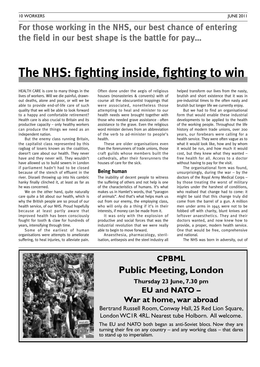### **For those working in the NHS, our best chance of entering the field in our best shape is the battle for pay…**

## **The NHS: fighting inside, fighting to win**

HEALTH CARE is core to many things in the lives of workers. Will we die painful, drawnout deaths, alone and poor, or will we be able to provide end-of-life care of such quality that we will be able to look forward to a happy and comfortable retirement? Health care is also crucial to Britain and its productive capacity – only healthy workers can produce the things we need as an independent nation.

But the enemy class running Britain, the capitalist class represented by this ragbag of losers known as the coalition, doesn't care about our health. They never have and they never will. They wouldn't have allowed us to build sewers in London if parliament hadn't had to be closed because of the stench of effluent in the river. Disraeli throwing up into his cambric hanky finally clinched it, at least as far as he was concerned.

We on the other hand, quite naturally care quite a bit about our health, which is why the British people are so proud of our health service, of our NHS. Proud hopefully because at least partly aware that improved health has been consciously fought for tooth & claw for hundreds of years, intensifying through time.

Some of the earliest of human organisations were attempts to ameliorate suffering, to heal injuries, to alleviate pain.

Often done under the aegis of religious houses (monasteries & convents) with of course all the obscurantist trappings that were associated, nonetheless those attempting to heal and minister to our health needs were brought together with those who needed grave assistance - often assistance to the grave. Even the religious word minister derives from an abbreviation of the verb to ad-minister to people's health.

These are older organisations even than the forerunners of trade unions, those craft guilds whose members built the cathedrals, after their forerunners the houses of care for the sick.

#### **Being human**

The inability of decent people to witness the suffering of others and not help is one of the characteristics of humans. It's what makes us in Hamlet's words, that "paragon of animals". And that's what helps mark us out from our enemy, the employing class, who will only do a thing if it's in their interests, if money can be made from it.

It was only with the explosion of productive and social forces that was the industrial revolution that we were really able to begin to move forward.

Anaesthesia, pharmacology, sterilisation, antisepsis and the steel industry all helped transform our lives from the nasty, brutish and short existence that it was in pre-industrial times to the often nasty and brutish but longer life we currently enjoy.

But we had to find an organisational form that would enable these industrial developments to be applied to the health of the working people. Throughout the life history of modern trade unions, over 200 years, our forebears were calling for a health service. They were often vague as to what it would look like, how and by whom it would be run, and how much it would cost, but they knew what they wanted – free health for all. Access to a doctor without having to pay for the visit.

The organisational form was found, unsurprisingly, during the war  $-$  by the doctors of the Royal Army Medical Corps – by those treating the worst of military injuries under the harshest of conditions, who realised that change had to come: it might be said that this change truly did come from the barrel of a gun. A million men under arms in 1945 were not to be fobbed off with charity, blunt knives and leftover anaesthetics. They and their doctors wanted, and now knew how to provide, a proper, modern health service. One that would be free, comprehensive and national.

The NHS was born in adversity, out of



## **CPBML Public Meeting, London**

**Thursday 23 June, 7.30 pm EU and NATO –**

**War at home, war abroad**

Bertrand Russell Room, Conway Hall, 25 Red Lion Square, LondonWC1R 4RL. Nearest tube Holborn. All welcome.

The EU and NATO both began as anti-Soviet blocs. Now they are turning their fire on any country – and any working class – that dares to stand up to imperialism.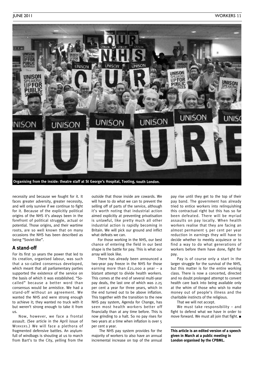

necessity and because we fought for it. It faces greater adversity, greater necessity, and will only survive if we continue to fight for it. Because of the explicitly political origins of the NHS it's always been in the forefront of political struggle, actual or potential. Those origins, and their wartime roots, are so well known that on many occasions the NHS has been described as being "Soviet-like".

#### **A stand-off**

For its first 30 years the power that led to its creation, organised labour, was such that a so-called consensus developed, which meant that all parliamentary parties supported the existence of the service on the basis of which it was established. "Socalled" because a better word than consensus would be armistice. We had a stand-off without an agreement. We wanted the NHS and were strong enough to achieve it; they wanted no truck with it but weren't strong enough to take it from us.

Now, however, we face a frontal assault. (See article in the April issue of WORKERS.) We will face a plethora of fragmented defensive battles. An asylumfull of windbags is shouting at us to march from Bart's to the City, yelling from the

outside that those inside are cowards. We will have to do what we can to prevent the selling off of parts of the service, although it's worth noting that industrial action aimed explicitly at preventing privatisation is unlawful, like pretty much all other industrial action is rapidly becoming in Britain. We will pick our ground and inflict what defeats we can.

For those working in the NHS, our best chance of entering the field in our best shape is the battle for pay. This is what our array will look like.

There has already been announced a two-year pay freeze in the NHS for those earning more than £21,000 a year – a blatant attempt to divide health workers. This comes at the end of several multi-year pay deals, the last one of which was 2.25 per cent a year for three years, which in the end turned out to be above inflation. This together with the transition to the new NHS pay system, Agenda for Change, has seen most health workers better off financially than at any time before. This is now grinding to a halt. So no pay rises for two years at a time when inflation is over 5 per cent a year.

The NHS pay system provides for the majority of workers to also have an annual incremental increase on top of the annual pay rise until they get to the top of their pay band. The government has already tried to entice workers into relinquishing this contractual right but this has so far been defeated. There will be myriad assaults on pay locally. When health workers realise that they are facing an almost permanent 5 per cent per year reduction in earnings they will have to decide whether to meekly acquiesce or to find a way to do what generations of workers before them have done, fight for pay.

Pay is of course only a start in the larger struggle for the survival of the NHS, but this matter is for the entire working class. There is now a concerted, directed and no doubt prolonged attempt to convert health care back into being available only at the whim of those who wish to make money out of people's illness and the charitable instincts of the religious.

That we will not accept.

We must take responsibility - and fight to defend what we have in order to move forward. We must all join that fight. **■**

**This article is an edited version of a speech given in March at a public meeting in London organised by the CPBML.**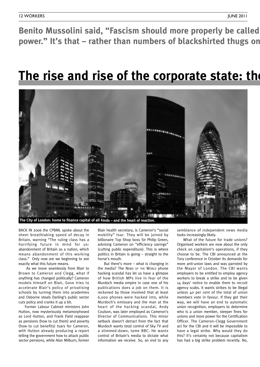Benito Mussolini said, "Fascism should more properly be called power." It's that - rather than numbers of blackshirted thugs on

## **The rise and rise of the corporate state: the**



BACK IN 2006 the CPBML spoke about the sheer breathtaking speed of decay in Britain, warning "The ruling class has a horrifying future in mind for us: abandonment of Britain as a nation, which means abandonment of this working class." Only now are we beginning to see exactly what this future means.

As we move seamlessly from Blair to Brown to Cameron and Clegg, what if anything has changed politically? Cameron models himself on Blair, Gove tries to accelerate Blair's policy of privatising schools by turning them into academies and Osborne steals Darling's public sector cuts policy and cranks it up a bit.

Former Labour Cabinet ministers John Hutton, now mysteriously metamorphosed as Lord Hutton, and Frank Field reappear as pensions (how to cut them) and poverty (how to cut benefits) tsars for Cameron, with Hutton already producing a report telling the government how to attack public sector pensions, while Alan Milburn, former

Blair health secretary, is Cameron's "social mobility" tsar. They will be joined by billionaire Top Shop boss Sir Philip Green, advising Cameron on "efficiency savings" (cutting public expenditure). This is where politics in Britain is going – straight to the horse's mouth.

But there's more – what is changing in the media? The NEWS OF THE WORLD phone hacking scandal has let us have a glimpse of how British MPs live in fear of the Murdoch media empire in case one of his publications does a job on them. It is reckoned by those involved that at least 6,000 phones were hacked into, while Murdoch's emissary and the man at the heart of the hacking scandal, Andy Coulson, was later employed as Cameron's Director of Communications. This minor setback doesn't detract from the fact that Murdoch wants total control of Sky TV and a slimmed-down, tame BBC. He wants control of Britain's media to dictate what information we receive. So, an end to any semblance of independent news media looks increasingly likely.

What of the future for trade unions? Organised workers are now about the only check on capitalism's operations, if they choose to be. The CBI announced at the Tory conference in October its demands for more anti-union laws and was parroted by the Mayor of London. The CBI wants employers to be entitled to employ agency workers to break a strike and to be given 14 days' notice to enable them to recruit agency scabs. It wants strikes to be illegal unless 40 per cent of the total of union members vote in favour. If they get their way, we will have an end to automatic union recognition, employers to determine who is a union member, steeper fines for unions and more power for the Certification Officer. The Cameron–Clegg Government act for the CBI and it will be impossible to have a legal strike. Why would they do this? It's certainly not because capitalism has had a big strike problem recently. No,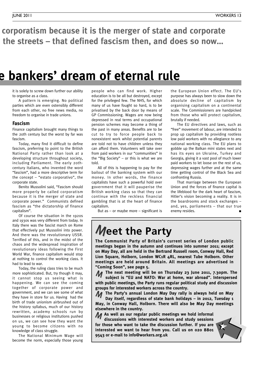**"Fascism should more properly be called corporatism because it is the merger of state and corporate** the streets – that defined fascism then, and does so now...

## **The rise and rise of the corporate state: the bankers' dream of eternal rule**

it is solely to screw down further our ability to organise as a class.

A pattern is emerging. No political parties which are even ostensibly different from each other, no free news media, no freedom to organise in trade unions.

#### **Fascism**

Finance capitalism brought many things to the 20th century but the worst by far was fascism.

Today, many find it difficult to define fascism, preferring to point to the British National Party rather than look at a developing structure throughout society, including Parliament. The early 20thcentury Italians, who invented the word "fascism", had a more descriptive term for the concept – "estato corporativo", the corporate state.

Benito Mussolini said, "Fascism should more properly be called corporatism because it is the merger of state and corporate power." Communists defined fascism as "the dictatorship of finance capitalism".

Of course the situation in the 1920s and 1930s was very different from today. In Italy there was the fascist march on Rome that effectively put Mussolini into power. And there was the revolutionary USSR. Terrified of this, and in the midst of the chaos and the widespread inspiration of revolutionary ideas following the First World War, finance capitalism would stop at nothing to control the working class. It had to lead to war.

Today, the ruling class tries to be much more sophisticated. But, try though it may, it cannot stop us seeing what is happening. We can see the coming together of corporate power and government, and we can see some of what they have in store for us. Having had the birth of trade unionism airbrushed out of the history syllabus, much of our history rewritten, academy schools run by businesses or religious institutions pushed on us, we can see how they want the young to become citizens with no knowledge of class struggle.

The National Minimum Wage will become the norm, especially those young

people who can find work. Higher education is to be all but destroyed, except for the privileged few. The NHS, for which many of us have fought so hard, is to be privatised by the back door by means of GP Commissioning. Wages are now being depressed in real terms and occupational pension schemes may become a thing of the past in many areas. Benefits are to be cut to try to force people back to nonexistent work whilst potential parents are told not to have children unless they can afford them. Volunteers will take over from paid workers in our "communities" in the "Big Society" – or this is what we are told.

All of this is happening to pay for the bailout of the banking system with our money. In other words, the finance capitalists have such a powerful hold over government that it will pauperise the British working class so that they can continue with the reckless financial gambling that is at the heart of finance capitalism.

But as  $-$  or maybe more  $-$  significant is

## **Meet the Party**

**The Communist Party of Britain's current series of London public meetings began in the autumn and continues into summer 2011; except on May Day, all are held in the Bertrand Russell room, Conway Hall, Red Lion Square, Holborn, London WC1R 4RL, nearest Tube Holborn. Other meetings are held around Britain. All meetings are advertised in "Coming Soon", see page 5.**

**The next meeting will be on Thursday 23 June 2011, 7.30pm. The subject is "EU and NATO: War at home, war abroad". Interspersed with public meetings, the Party runs regular political study and discussion groups for interested workers across the country.** M

**The Party's annual London May Day rally is always held on May** M **Day itself, regardless of state bank holidays – in 2012, Tuesday 1 May, in Conway Hall, Holborn. There will also be May Day meetings elsewhere in the country.**

**As well as our regular public meetings we hold informal** M **discussions with interested workers and study sessions for those who want to take the discussion further. If you are interested we want to hear from you. Call us on 020 8801 9543 or e-mail to info@workers.org.uk**



the European Union effect. The EU's purpose has always been to slow down the absolute decline of capitalism by organising capitalism on a continental scale. The Commissioners are handpicked from those who will protect capitalism, brutally if needed.

The EU directives and laws, such as "free" movement of labour, are intended to prop up capitalism by providing rootless low paid workers with no allegiance to any national working class. The EU plans to gobble up the Balkan mini states next and has its eyes on Ukraine, Turkey and Georgia, giving it a vast pool of much lower paid workers to let loose on the rest of us, depressing wages further and at the same time getting control of the Black Sea and confronting Russia.

That marriage between the European Union and the forces of finance capital is the lifeblood for the dark heart of fascism, Hitler's vision becoming a reality. It is in the boardrooms and stock exchanges – and, yes, parliaments – that our true enemy resides. **■**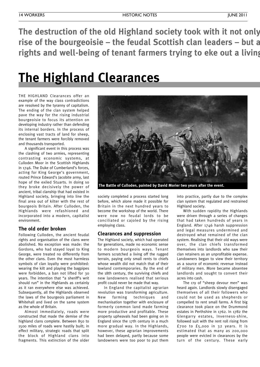**The destruction of the old Highland society took with it not only a class opposing the rise** of the bourgeoisie – the feudal Scottish clan leaders – but a **rights and well-being of tenant farmers trying to eke out a living…**

## **The Highland Clearances**

THE HIGHLAND Clearances offer an example of the way class contradictions are resolved by the tyranny of capitalism. The ending of the clan system helped pave the way for the rising industrial bourgeoisie to focus its attention on developing industry rather than defending its internal borders. In the process of enclosing vast tracts of land for sheep, the tenant farmers were forcibly removed and thousands transported.

A significant event in this process was the clashing of two armies, representing contrasting economic systems, at Culloden Moor in the Scottish Highlands in 1746. The Duke of Cumberland's forces, acting for King George's government, routed Prince Edward's Jacobite army, last hope of the exiled Stuarts. In doing so they broke decisively the power of ancient, tribal clanship that had existed in Highland society, bringing into line the final area out of kilter with the rest of bourgeois Britain. After Culloden, the Highlands were refashioned and incorporated into a modern, capitalist environment.

#### **The old order broken**

Following Culloden, the ancient feudal rights and organisation of the clans were abolished. No exception was made: the Gordons, who had stayed loyal to King George, were treated no differently from the other clans. Even the most harmless symbols of clan loyalty were prohibited: wearing the kilt and playing the bagpipes were forbidden, a ban not lifted for 30 years. The intention that "a sheriff's writ should run" in the Highlands as certainly as it ran everywhere else was achieved. Subsequently, all the Highlands observed the laws of the bourgeois parliament in Whitehall and lived on the same system as the whole of Britain.

Almost immediately, roads were constructed that made the demise of the highland clans complete. Between 850 to 1500 miles of roads were hastily built; in effect military, strategic roads that split the block of Highland clans into fragments. This extinction of the older



**The Battle of Culloden, painted by David Morier two years after the event.**

society completed a process started long before, which alone made it possible for Britain in the next hundred years to become the workshop of the world. There were now no feudal lords to be conciliated or cajoled by the rising employing class.

#### **Clearances and suppression**

The Highland society, which had operated for generations, made no economic sense to modern bourgeois ways. Tenant farmers scratched a living off the rugged terrain, paying only small rents to chiefs whose wealth did not match that of their lowland contemporaries. By the end of the 18th century, the surviving chiefs and new landowners realised that serious profit could never be made that way.

In England the capitalist agrarian revolution was transforming agriculture. New farming techniques and mechanisation together with enclosure of formerly common land made farming more productive and profitable. These property upheavals had been going on in England since the 17th century in a much more gradual way. In the Highlands, however, these agrarian improvements had been delayed, partly because some landowners were too poor to put them

into practice, partly due to the complex clan system that regulated and restrained Highland society.

With sudden rapidity the Highlands were driven through a series of changes that had taken hundreds of years in England. After 1746 harsh suppression and legal measures undermined and destroyed what remained of the clan system. Realising that their old ways were over, the clan chiefs transformed themselves into landlords who saw their clan retainers as an unprofitable expense. Landowners began to view their territory as a source of economic revenue instead of military men. More became absentee landlords and sought to convert their acres into cash.

The cry of "sheep devour men" was heard again. Landlords slowly disengaged themselves of all their followers who could not be used as shepherds or compelled to rent small farms. A first big clearance took place on the Drummond estates in Perthshire in 1762. In 1782 the Glengarry estates, Inverness-shire, followed suit with the rent roll rising from £700 to £5,000 in 32 years. It is estimated that as many as 200,000 people were evicted in clearances by the turn of the century. These early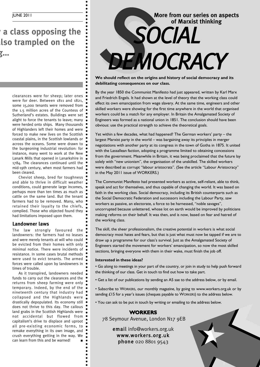JUNE 2011

**z d d d d d e o opposing the rise of the bourgeoisie – the feudal Scottish clan leaders – but also trampled on the rights and well-being of tenant farmers trying to eke out a living…**

> clearances were for sheep; later ones were for deer. Between 1811 and 1821, some 15,000 tenants were removed from the 1.5 million acres of the Countess of Sutherland's estates. Buildings were set alight to force the tenants to leave; many were herded onto ships. Many thousands of Highlanders left their homes and were forced to make new lives on the Scottish coastal plains, in the Scottish lowlands or across the oceans. Some were drawn to the burgeoning industrial revolution: for instance, many went to work at the New Lanark Mills that opened in Lanarkshire in 1784. The clearances continued until the mid-19th century, when most farmers had been cleared.

> Cheviot sheep, bred for toughness and able to thrive in difficult weather conditions, could generate large incomes, perhaps more than ten times as much as cattle on the same land. But the tenant farmers had to be removed. Many, who retained their loyalty to the chiefs, complied. Those who objected found they had limitations imposed upon them.

#### **Landowner laws**

The law strongly favoured the landowners: the farmers had no leases and were merely tenants at will who could be evicted from their homes with only minimal notice. There were incidents of resistance. In some cases brutal methods were used to evict tenants. The armed forces were called upon by landowners in times of trouble.

As it transpired, landowners needed funds to carry out the clearances and the returns from sheep farming were only temporary. Indeed, by the end of the nineteenth century that industry had collapsed and the Highlands were drastically depopulated. Its economy still does not thrive to this day. The callous land grabs in the Scottish Highlands were  $\bullet$ not accidental but flowed from capitalism's drive to displace and uproot all pre-existing economic forms, to remake everything in its own image, and crush everything getting in the way. We can learn from this and be warned!



**We should reflect on the origins and history of social democracy and its debilitating consequences on our class.**

By the year 1850 the Communist Manifesto had just appeared, written by Karl Marx and Friedrich Engels. It had shown at the level of theory that the working class could effect its own emancipation from wage slavery. At the same time, engineers and other skilled workers were showing for the first time anywhere in the world that organised workers could be a match for any employer. In Britain the Amalgamated Society of Engineers was formed as a national union in 1851. The conclusion should have been obvious: use the practical strength to achieve the theoretical goals.

Yet within a few decades, what had happened? The German workers' party – the largest Marxist party in the world – was bargaining away its principles in merger negotiations with another party at its congress in the town of Gotha in 1875. It united with the Lassallean faction, adopting a programme limited to obtaining concessions from the government. Meanwhile in Britain, it was being proclaimed that the future lay solely with "new unionism", the organisation of the unskilled. The skilled workers were described as corrupt "labour aristocrats". (See the article "Labour Aristocracy" in the May 2011 issue of WORKERS.)

The Communist Manifesto had presented workers as active, self-reliant, able to think, speak and act for themselves, and thus capable of changing the world. It was based on faith in the working class. Social democracy, including its British counterparts such as the Social Democratic Federation and successors including the Labour Party, saw workers as passive, an electorate, a force to be harnessed, "noble savages", uncorrupted because unlettered, whose lot on earth would be improved by politicians making reforms on their behalf. It was then, and is now, based on fear and hatred of the working class.

The skill, the sheer professionalism, the creative potential in workers is what social democracy most hates and fears, but that is just what must now be tapped if we are to draw up a programme for our class's survival. Just as the Amalgamated Society of Engineers started the movement for workers' emancipation, so now the most skilled sections, bringing everyone with them in their wake, must finish the job off.

#### **Interested in these ideas?**

• Go along to meetings in your part of the country, or join in study to help push forward the thinking of our class. Get in touch to find out how to take part.

• Get a list of our publications by sending an A5 sae to the address below, or by email.

• Subscribe to WORKERS, our monthly magazine, by going to www.workers.org.uk or by sending £15 for a year's issues (cheques payable to WORKERS) to the address below.

• You can ask to be put in touch by writing or emailing to the address below.

#### **WORKERS**

78 Seymour Avenue, London N17 9EB

email info@workers.org.uk www.workers.org.uk phone 020 8801 9543